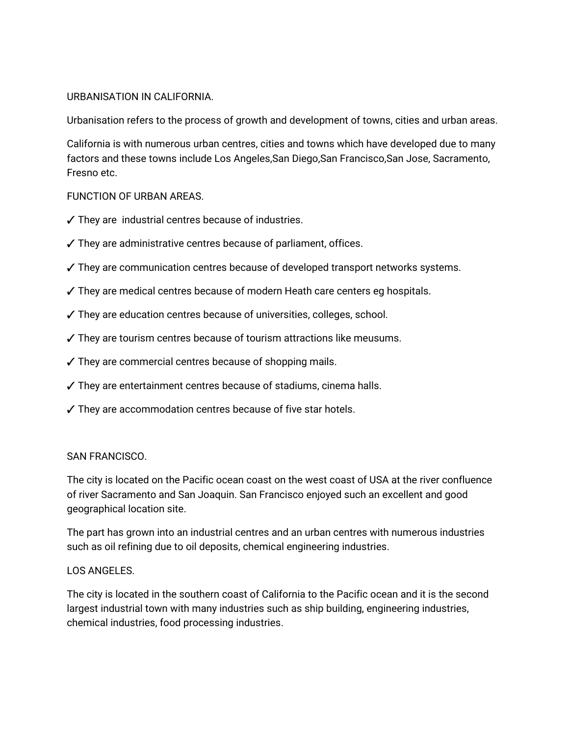### URBANISATION IN CALIFORNIA.

Urbanisation refers to the process of growth and development of towns, cities and urban areas.

California is with numerous urban centres, cities and towns which have developed due to many factors and these towns include Los Angeles,San Diego,San Francisco,San Jose, Sacramento, Fresno etc.

### FUNCTION OF URBAN AREAS.

- $\checkmark$  They are industrial centres because of industries.
- $\checkmark$  They are administrative centres because of parliament, offices.
- $\checkmark$  They are communication centres because of developed transport networks systems.
- $\checkmark$  They are medical centres because of modern Heath care centers eg hospitals.
- $\checkmark$  They are education centres because of universities, colleges, school.
- $\checkmark$  They are tourism centres because of tourism attractions like meusums.
- $\checkmark$  They are commercial centres because of shopping mails.
- $\sqrt{\ }$  They are entertainment centres because of stadiums, cinema halls.
- $\checkmark$  They are accommodation centres because of five star hotels.

#### SANFRANCISCO.

The city is located on the Pacific ocean coast on the west coast of USA at the river confluence of river Sacramento and San Joaquin. San Francisco enjoyed such an excellent and good geographical location site.

The part has grown into an industrial centres and an urban centres with numerous industries such as oil refining due to oil deposits, chemical engineering industries.

#### LOSANGELES.

The city is located in the southern coast of California to the Pacific ocean and it is the second largest industrial town with many industries such as ship building, engineering industries, chemical industries, food processing industries.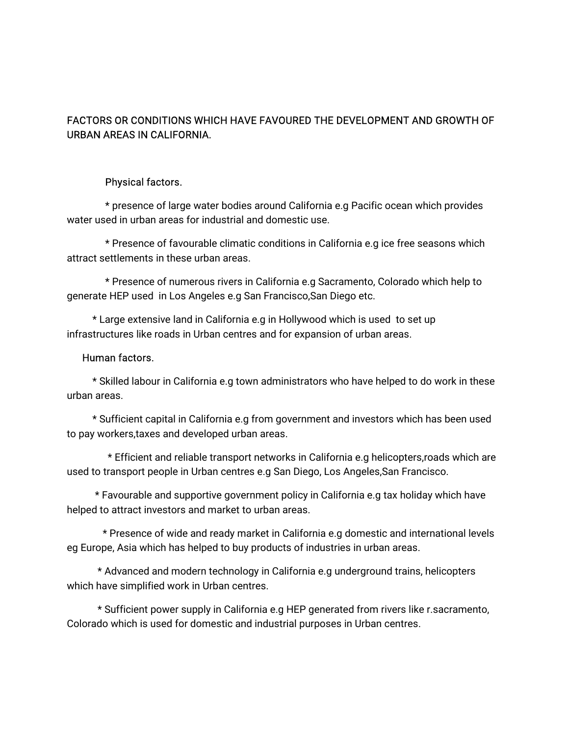# FACTORS OR CONDITIONS WHICH HAVE FAVOURED THE DEVELOPMENT AND GROWTH OF URBAN AREAS IN CALIFORNIA.

### Physical factors.

\* presence of large water bodies around California e.g Pacific ocean which provides water used in urban areas for industrial and domestic use.

\* Presence of favourable climatic conditions in California e.g ice free seasons which attract settlements in these urban areas.

\* Presence of numerous rivers in California e.g Sacramento, Colorado which help to generate HEP used in Los Angeles e.g San Francisco, San Diego etc.

\* Large extensive land in California e.g in Hollywood which is used to set up infrastructures like roads in Urban centres and for expansion of urban areas.

#### Human factors.

\* Skilled labour in California e.g town administrators who have helped to do work in these urban areas.

\* Sufficient capital in California e.g from government and investors which has been used to pay workers, taxes and developed urban areas.

\* Efficient and reliable transport networks in California e.g helicopters,roads which are used to transport people in Urban centres e.g San Diego, Los Angeles, San Francisco.

\* Favourable and supportive government policy in California e.g tax holiday which have helped to attract investors and market to urban areas.

\* Presence of wide and ready market in California e.g domestic and international levels eg Europe, Asia which has helped to buy products of industries in urban areas.

\* Advanced and modern technology in California e.g underground trains, helicopters which have simplified work in Urban centres.

\* Sufficient power supply in California e.g HEP generated from rivers like r.sacramento, Colorado which is used for domestic and industrial purposes in Urban centres.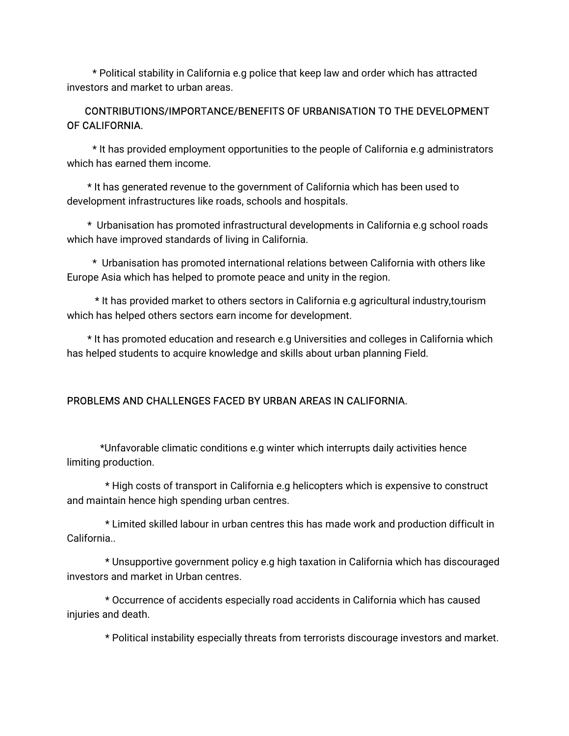\* Political stability in California e.g police that keep law and order which has attracted investors and market to urban areas.

# CONTRIBUTIONS/IMPORTANCE/BENEFITSOFURBANISATIONTOTHEDEVELOPMENT OF CALIFORNIA.

\* It has provided employment opportunities to the people of California e.g administrators which has earned them income.

\* It has generated revenue to the government of California which has been used to development infrastructures like roads, schools and hospitals.

\* Urbanisation has promoted infrastructural developments in California e.g school roads which have improved standards of living in California.

\* Urbanisation has promoted international relations between California with others like Europe Asia which has helped to promote peace and unity in the region.

\* It has provided market to others sectors in California e.g agricultural industry, tourism which has helped others sectors earn income for development.

\*Ithaspromotededucationandresearche.gUniversitiesandcollegesinCaliforniawhich has helped students to acquire knowledge and skills about urban planning Field.

# PROBLEMS AND CHALLENGES FACED BY URBAN AREAS IN CALIFORNIA.

\*Unfavorable climatic conditions e.g winter which interrupts daily activities hence limiting production.

\* High costs of transport in California e.g helicopters which is expensive to construct and maintain hence high spending urban centres.

\* Limited skilled labour in urban centres this has made work and production difficult in California..

\* Unsupportive government policy e.g high taxation in California which has discouraged investors and market in Urban centres.

\*OccurrenceofaccidentsespeciallyroadaccidentsinCaliforniawhichhascaused injuries and death.

\* Political instability especially threats from terrorists discourage investors and market.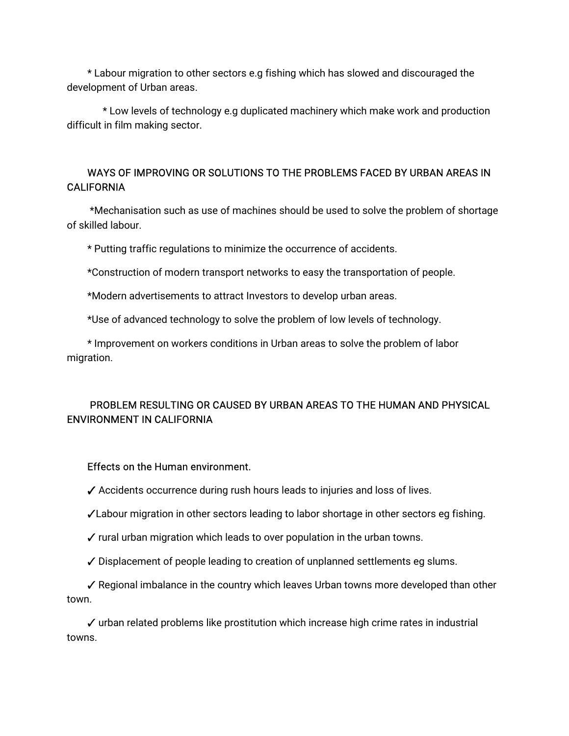\* Labour migration to other sectors e.g fishing which has slowed and discouraged the development of Urban areas.

\* Low levels of technology e.g duplicated machinery which make work and production difficult in film making sector.

# WAYS OF IMPROVING OR SOLUTIONS TO THE PROBLEMS FACED BY URBAN AREAS IN **CALIFORNIA**

\*Mechanisation such as use of machines should be used to solve the problem of shortage of skilled labour.

\* Putting traffic regulations to minimize the occurrence of accidents.

\*Construction of modern transport networks to easy the transportation of people.

\*Modern advertisements to attract Investors to develop urban areas.

\*Use of advanced technology to solve the problem of low levels of technology.

\* Improvement on workers conditions in Urban areas to solve the problem of labor migration.

# PROBLEM RESULTING OR CAUSED BY URBAN AREAS TO THE HUMAN AND PHYSICAL ENVIRONMENT IN CALIFORNIA

#### Effects on the Human environment.

 $\checkmark$  Accidents occurrence during rush hours leads to injuries and loss of lives.

√Labour migration in other sectors leading to labor shortage in other sectors eg fishing.

 $\checkmark$  rural urban migration which leads to over population in the urban towns.

 $\checkmark$  Displacement of people leading to creation of unplanned settlements eg slums.

 $\checkmark$  Regional imbalance in the country which leaves Urban towns more developed than other town.

 $\checkmark$  urban related problems like prostitution which increase high crime rates in industrial towns.